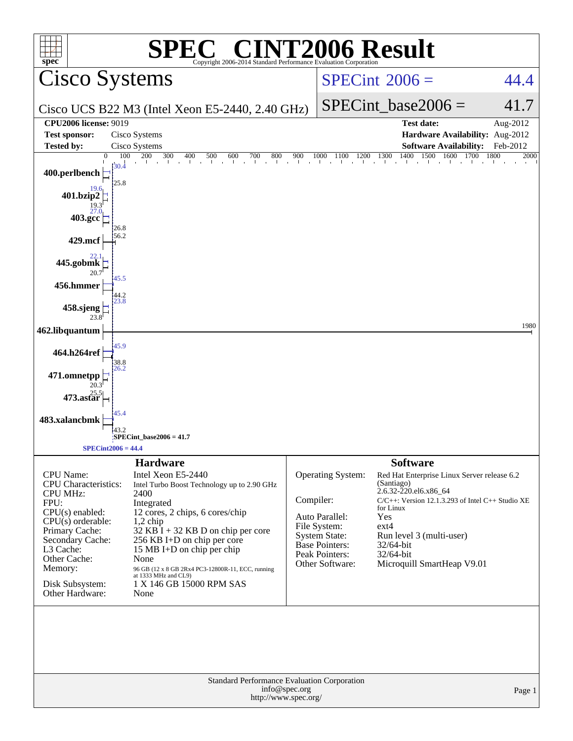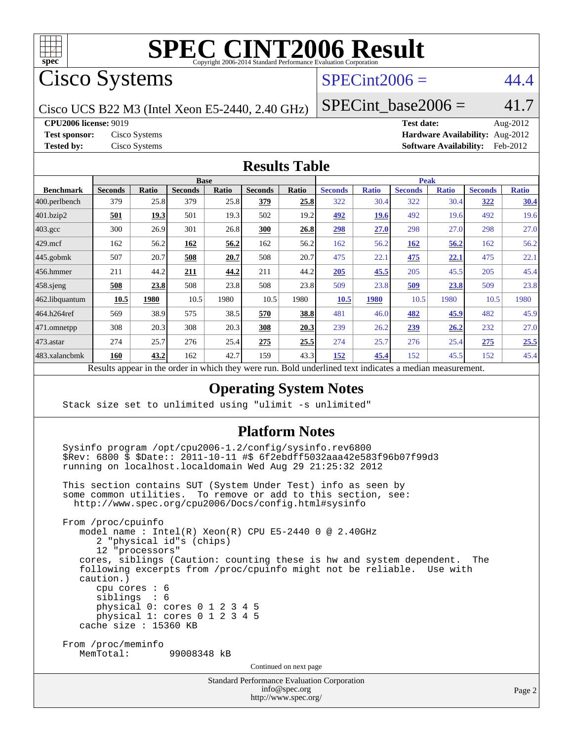

# **[SPEC CINT2006 Result](http://www.spec.org/auto/cpu2006/Docs/result-fields.html#SPECCINT2006Result)**

Cisco Systems

### $SPECint2006 = 44.4$  $SPECint2006 = 44.4$

Cisco UCS B22 M3 (Intel Xeon E5-2440, 2.40 GHz)

SPECint base2006 =  $41.7$ 

**[CPU2006 license:](http://www.spec.org/auto/cpu2006/Docs/result-fields.html#CPU2006license)** 9019 **[Test date:](http://www.spec.org/auto/cpu2006/Docs/result-fields.html#Testdate)** Aug-2012

**[Test sponsor:](http://www.spec.org/auto/cpu2006/Docs/result-fields.html#Testsponsor)** Cisco Systems **[Hardware Availability:](http://www.spec.org/auto/cpu2006/Docs/result-fields.html#HardwareAvailability)** Aug-2012 **[Tested by:](http://www.spec.org/auto/cpu2006/Docs/result-fields.html#Testedby)** Cisco Systems **[Software Availability:](http://www.spec.org/auto/cpu2006/Docs/result-fields.html#SoftwareAvailability)** Feb-2012

#### **[Results Table](http://www.spec.org/auto/cpu2006/Docs/result-fields.html#ResultsTable)**

|                    | <b>Base</b>    |              |                |              |                |       | <b>Peak</b>    |              |                |              |                |              |
|--------------------|----------------|--------------|----------------|--------------|----------------|-------|----------------|--------------|----------------|--------------|----------------|--------------|
| <b>Benchmark</b>   | <b>Seconds</b> | <b>Ratio</b> | <b>Seconds</b> | <b>Ratio</b> | <b>Seconds</b> | Ratio | <b>Seconds</b> | <b>Ratio</b> | <b>Seconds</b> | <b>Ratio</b> | <b>Seconds</b> | <b>Ratio</b> |
| 400.perlbench      | 379            | 25.8         | 379            | 25.8         | 379            | 25.8  | 322            | 30.4         | 322            | 30.4         | <u>322</u>     | 30.4         |
| 401.bzip2          | 501            | 19.3         | 501            | 19.3         | 502            | 19.2  | 492            | 19.6         | 492            | 19.6         | 492            | 19.6         |
| $403.\mathrm{gcc}$ | 300            | 26.9         | 301            | 26.8         | 300            | 26.8  | 298            | 27.0         | 298            | 27.0         | 298            | 27.0         |
| $429$ mcf          | 162            | 56.2         | 162            | 56.2         | 162            | 56.2  | 162            | 56.2         | 162            | 56.2         | 162            | 56.2         |
| $445$ .gobmk       | 507            | 20.7         | 508            | 20.7         | 508            | 20.7  | 475            | 22.1         | 475            | <u>22.1</u>  | 475            | 22.1         |
| $456.$ hmmer       | 211            | 44.2         | 211            | 44.2         | 211            | 44.2  | 205            | 45.5         | 205            | 45.5         | 205            | 45.4         |
| $458$ .sjeng       | 508            | 23.8         | 508            | 23.8         | 508            | 23.8  | 509            | 23.8         | <u>509</u>     | 23.8         | 509            | 23.8         |
| 462.libquantum     | 10.5           | 1980         | 10.5           | 1980         | 10.5           | 1980  | <b>10.5</b>    | 1980         | 10.5           | 1980         | 10.5           | 1980         |
| 464.h264ref        | 569            | 38.9         | 575            | 38.5         | 570            | 38.8  | 481            | 46.0         | 482            | 45.9         | 482            | 45.9         |
| 471.omnetpp        | 308            | 20.3         | 308            | 20.3         | 308            | 20.3  | 239            | 26.2         | 239            | <u>26.2</u>  | 232            | 27.0         |
| $473$ . astar      | 274            | 25.7         | 276            | 25.4         | 275            | 25.5  | 274            | 25.7         | 276            | 25.4         | 275            | 25.5         |
| 483.xalancbmk      | 160            | 43.2         | 162            | 42.7         | 159            | 43.3  | 152            | 45.4         | 152            | 45.5         | 152            | 45.4         |

Results appear in the [order in which they were run.](http://www.spec.org/auto/cpu2006/Docs/result-fields.html#RunOrder) Bold underlined text [indicates a median measurement.](http://www.spec.org/auto/cpu2006/Docs/result-fields.html#Median)

#### **[Operating System Notes](http://www.spec.org/auto/cpu2006/Docs/result-fields.html#OperatingSystemNotes)**

Stack size set to unlimited using "ulimit -s unlimited"

#### **[Platform Notes](http://www.spec.org/auto/cpu2006/Docs/result-fields.html#PlatformNotes)**

 Sysinfo program /opt/cpu2006-1.2/config/sysinfo.rev6800 \$Rev: 6800 \$ \$Date:: 2011-10-11 #\$ 6f2ebdff5032aaa42e583f96b07f99d3 running on localhost.localdomain Wed Aug 29 21:25:32 2012

 This section contains SUT (System Under Test) info as seen by some common utilities. To remove or add to this section, see: <http://www.spec.org/cpu2006/Docs/config.html#sysinfo>

 From /proc/cpuinfo model name : Intel(R) Xeon(R) CPU E5-2440 0 @ 2.40GHz 2 "physical id"s (chips) 12 "processors" cores, siblings (Caution: counting these is hw and system dependent. The following excerpts from /proc/cpuinfo might not be reliable. Use with caution.) cpu cores : 6 siblings : 6 physical 0: cores 0 1 2 3 4 5 physical 1: cores 0 1 2 3 4 5 cache size : 15360 KB From /proc/meminfo MemTotal: 99008348 kB Continued on next page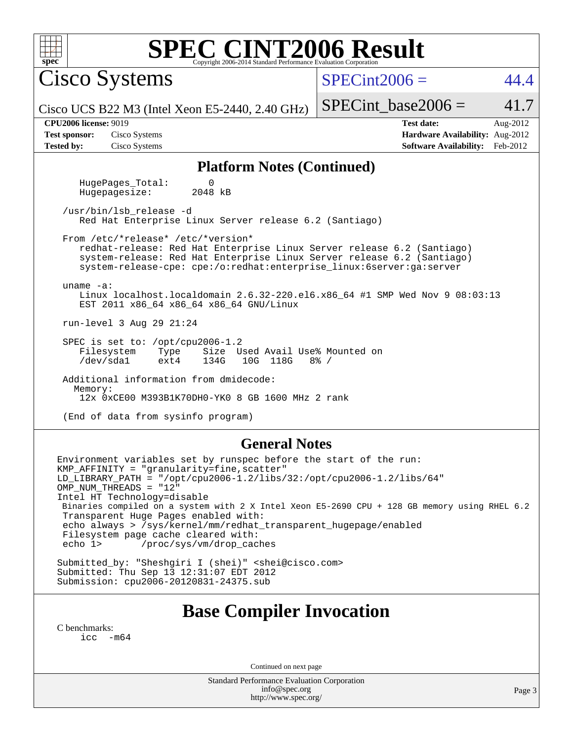| SPEC CINT2006 Evaluation Corporation<br>spec <sup>®</sup>                                                                                                                                                                                                                                                                                                                                 |                                                                                                            |  |  |  |  |  |
|-------------------------------------------------------------------------------------------------------------------------------------------------------------------------------------------------------------------------------------------------------------------------------------------------------------------------------------------------------------------------------------------|------------------------------------------------------------------------------------------------------------|--|--|--|--|--|
| <b>Cisco Systems</b>                                                                                                                                                                                                                                                                                                                                                                      | $SPECint2006 =$<br>44.4                                                                                    |  |  |  |  |  |
| Cisco UCS B22 M3 (Intel Xeon E5-2440, 2.40 GHz)                                                                                                                                                                                                                                                                                                                                           | 41.7<br>$SPECint base2006 =$                                                                               |  |  |  |  |  |
| <b>CPU2006 license: 9019</b><br><b>Test sponsor:</b><br>Cisco Systems<br><b>Tested by:</b><br>Cisco Systems                                                                                                                                                                                                                                                                               | <b>Test date:</b><br>Aug-2012<br>Hardware Availability: Aug-2012<br><b>Software Availability:</b> Feb-2012 |  |  |  |  |  |
| <b>Platform Notes (Continued)</b>                                                                                                                                                                                                                                                                                                                                                         |                                                                                                            |  |  |  |  |  |
| HugePages_Total:<br>0<br>2048 kB<br>Hugepagesize:                                                                                                                                                                                                                                                                                                                                         |                                                                                                            |  |  |  |  |  |
| /usr/bin/lsb_release -d<br>Red Hat Enterprise Linux Server release 6.2 (Santiago)                                                                                                                                                                                                                                                                                                         |                                                                                                            |  |  |  |  |  |
| From /etc/*release* /etc/*version*<br>redhat-release: Red Hat Enterprise Linux Server release 6.2 (Santiago)<br>system-release: Red Hat Enterprise Linux Server release 6.2 (Santiago)<br>system-release-cpe: cpe:/o:redhat:enterprise_linux:6server:ga:server                                                                                                                            |                                                                                                            |  |  |  |  |  |
| uname $-a$ :<br>Linux localhost.localdomain 2.6.32-220.el6.x86_64 #1 SMP Wed Nov 9 08:03:13<br>EST 2011 x86_64 x86_64 x86_64 GNU/Linux                                                                                                                                                                                                                                                    |                                                                                                            |  |  |  |  |  |
| run-level 3 Aug 29 21:24                                                                                                                                                                                                                                                                                                                                                                  |                                                                                                            |  |  |  |  |  |
| SPEC is set to: /opt/cpu2006-1.2<br>Size Used Avail Use% Mounted on<br>Filesystem<br>Type<br>/dev/sda1<br>ext4<br>134G<br>10G 118G                                                                                                                                                                                                                                                        | $8\frac{6}{9}$ /                                                                                           |  |  |  |  |  |
| Additional information from dmidecode:                                                                                                                                                                                                                                                                                                                                                    |                                                                                                            |  |  |  |  |  |
| Memory:<br>12x 0xCE00 M393B1K70DH0-YK0 8 GB 1600 MHz 2 rank                                                                                                                                                                                                                                                                                                                               |                                                                                                            |  |  |  |  |  |
| (End of data from sysinfo program)                                                                                                                                                                                                                                                                                                                                                        |                                                                                                            |  |  |  |  |  |
| <b>General Notes</b>                                                                                                                                                                                                                                                                                                                                                                      |                                                                                                            |  |  |  |  |  |
| Environment variables set by runspec before the start of the run:<br>KMP_AFFINITY = "granularity=fine, scatter"<br>LD_LIBRARY_PATH = "/opt/cpu2006-1.2/libs/32:/opt/cpu2006-1.2/libs/64"<br>OMP_NUM_THREADS = "12"<br>Intel HT Technology=disable<br>Binaries compiled on a system with 2 X Intel Xeon E5-2690 CPU + 128 GB memory using RHEL 6.2<br>Transparent Huge Pages enabled with: |                                                                                                            |  |  |  |  |  |
| echo always > /sys/kernel/mm/redhat_transparent_hugepage/enabled                                                                                                                                                                                                                                                                                                                          |                                                                                                            |  |  |  |  |  |

Filesystem page cache cleared with:<br>echo 1> /proc/sys/vm/drop\_cac /proc/sys/vm/drop\_caches

Submitted\_by: "Sheshgiri I (shei)" <shei@cisco.com> Submitted: Thu Sep 13 12:31:07 EDT 2012 Submission: cpu2006-20120831-24375.sub

## **[Base Compiler Invocation](http://www.spec.org/auto/cpu2006/Docs/result-fields.html#BaseCompilerInvocation)**

[C benchmarks](http://www.spec.org/auto/cpu2006/Docs/result-fields.html#Cbenchmarks): [icc -m64](http://www.spec.org/cpu2006/results/res2012q3/cpu2006-20120831-24375.flags.html#user_CCbase_intel_icc_64bit_f346026e86af2a669e726fe758c88044)

Continued on next page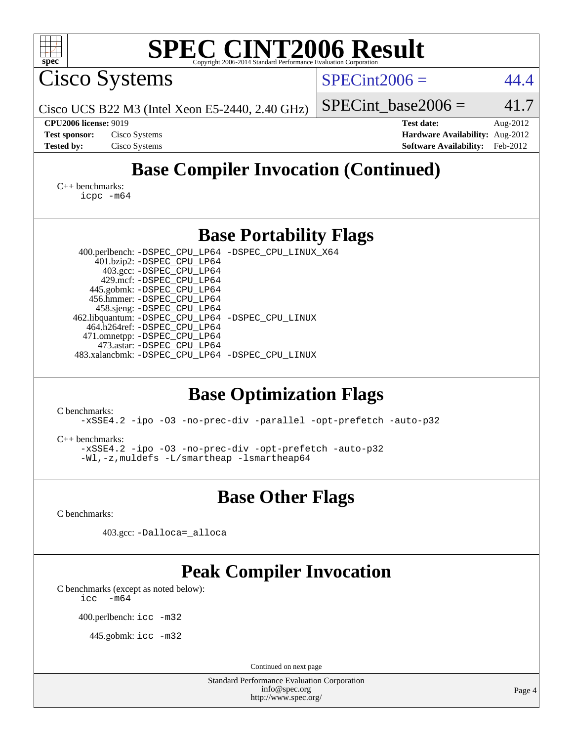| <b>SPEC CINT2006 Result</b><br>spec <sup>®</sup><br>Copyright 2006-2014 Standard Performance Evaluation Corporation |                                                                  |
|---------------------------------------------------------------------------------------------------------------------|------------------------------------------------------------------|
| Cisco Systems                                                                                                       | $SPECint2006 =$<br>44.4                                          |
| Cisco UCS B22 M3 (Intel Xeon E5-2440, 2.40 GHz)                                                                     | 41.7<br>$SPECint base2006 =$                                     |
| <b>CPU2006 license: 9019</b><br><b>Test sponsor:</b><br>Cisco Systems                                               | <b>Test date:</b><br>Aug-2012<br>Hardware Availability: Aug-2012 |
| <b>Tested by:</b><br>Cisco Systems                                                                                  | <b>Software Availability:</b><br>Feb-2012                        |
| <b>Base Compiler Invocation (Continued)</b>                                                                         |                                                                  |
| $C_{++}$ benchmarks:<br>$icpc$ $-m64$                                                                               |                                                                  |
| <b>Base Portability Flags</b>                                                                                       |                                                                  |
| 400.perlbench: -DSPEC_CPU_LP64 -DSPEC_CPU_LINUX_X64<br>401.bzip2: -DSPEC_CPU_LP64                                   |                                                                  |
| 403.gcc: -DSPEC_CPU_LP64<br>429.mcf: -DSPEC_CPU_LP64                                                                |                                                                  |
| 445.gobmk: -DSPEC_CPU_LP64<br>456.hmmer: - DSPEC_CPU_LP64                                                           |                                                                  |
| 458.sjeng: -DSPEC_CPU_LP64<br>462.libquantum: -DSPEC_CPU_LP64 -DSPEC_CPU_LINUX                                      |                                                                  |
| 464.h264ref: -DSPEC_CPU_LP64                                                                                        |                                                                  |
| 471.omnetpp: -DSPEC_CPU_LP64<br>473.astar: -DSPEC_CPU_LP64                                                          |                                                                  |
| 483.xalancbmk: -DSPEC_CPU_LP64 -DSPEC_CPU_LINUX                                                                     |                                                                  |
| <b>Base Optimization Flags</b>                                                                                      |                                                                  |
| C benchmarks:<br>-xSSE4.2 -ipo -03 -no-prec-div -parallel -opt-prefetch -auto-p32                                   |                                                                  |
| $C++$ benchmarks:                                                                                                   |                                                                  |
| -xSSE4.2 -ipo -03 -no-prec-div -opt-prefetch -auto-p32<br>-Wl,-z, muldefs -L/smartheap -lsmartheap64                |                                                                  |
| <b>Base Other Flags</b>                                                                                             |                                                                  |
| C benchmarks:                                                                                                       |                                                                  |
| 403.gcc: -Dalloca=_alloca                                                                                           |                                                                  |
| <b>Peak Compiler Invocation</b>                                                                                     |                                                                  |
| C benchmarks (except as noted below):<br>$-m64$<br>icc                                                              |                                                                  |
| 400.perlbench: icc -m32                                                                                             |                                                                  |
| 445.gobmk: icc -m32                                                                                                 |                                                                  |
| Continued on next page                                                                                              |                                                                  |
| <b>Standard Performance Evaluation Corporation</b><br>info@spec.org<br>http://www.spec.org/                         | Page 4                                                           |
|                                                                                                                     |                                                                  |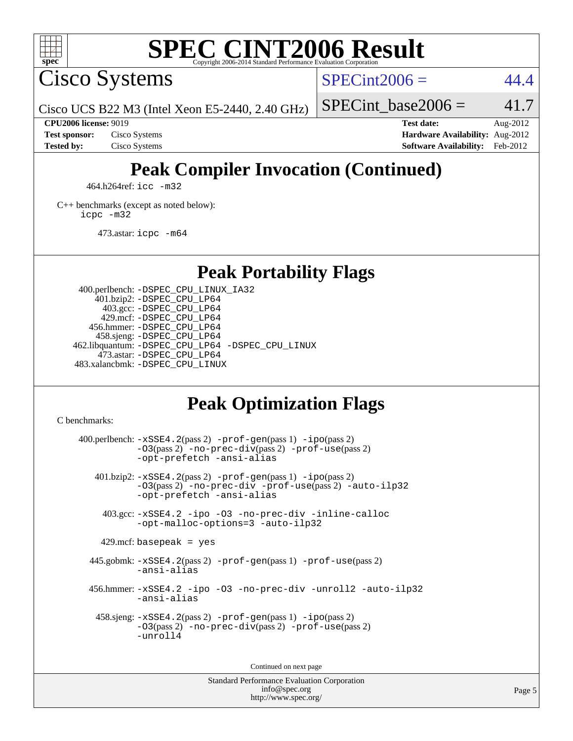

## **[SPEC CINT2006 Result](http://www.spec.org/auto/cpu2006/Docs/result-fields.html#SPECCINT2006Result)**

Cisco Systems

 $SPECint2006 = 44.4$  $SPECint2006 = 44.4$ 

Cisco UCS B22 M3 (Intel Xeon E5-2440, 2.40 GHz)

SPECint base2006 =  $41.7$ 

**[CPU2006 license:](http://www.spec.org/auto/cpu2006/Docs/result-fields.html#CPU2006license)** 9019 **[Test date:](http://www.spec.org/auto/cpu2006/Docs/result-fields.html#Testdate)** Aug-2012 **[Test sponsor:](http://www.spec.org/auto/cpu2006/Docs/result-fields.html#Testsponsor)** Cisco Systems **[Hardware Availability:](http://www.spec.org/auto/cpu2006/Docs/result-fields.html#HardwareAvailability)** Aug-2012 **[Tested by:](http://www.spec.org/auto/cpu2006/Docs/result-fields.html#Testedby)** Cisco Systems **[Software Availability:](http://www.spec.org/auto/cpu2006/Docs/result-fields.html#SoftwareAvailability)** Feb-2012

## **[Peak Compiler Invocation \(Continued\)](http://www.spec.org/auto/cpu2006/Docs/result-fields.html#PeakCompilerInvocation)**

464.h264ref: [icc -m32](http://www.spec.org/cpu2006/results/res2012q3/cpu2006-20120831-24375.flags.html#user_peakCCLD464_h264ref_intel_icc_a6a621f8d50482236b970c6ac5f55f93)

[C++ benchmarks \(except as noted below\):](http://www.spec.org/auto/cpu2006/Docs/result-fields.html#CXXbenchmarksexceptasnotedbelow) [icpc -m32](http://www.spec.org/cpu2006/results/res2012q3/cpu2006-20120831-24375.flags.html#user_CXXpeak_intel_icpc_4e5a5ef1a53fd332b3c49e69c3330699)

473.astar: [icpc -m64](http://www.spec.org/cpu2006/results/res2012q3/cpu2006-20120831-24375.flags.html#user_peakCXXLD473_astar_intel_icpc_64bit_fc66a5337ce925472a5c54ad6a0de310)

**[Peak Portability Flags](http://www.spec.org/auto/cpu2006/Docs/result-fields.html#PeakPortabilityFlags)**

 400.perlbench: [-DSPEC\\_CPU\\_LINUX\\_IA32](http://www.spec.org/cpu2006/results/res2012q3/cpu2006-20120831-24375.flags.html#b400.perlbench_peakCPORTABILITY_DSPEC_CPU_LINUX_IA32) 401.bzip2: [-DSPEC\\_CPU\\_LP64](http://www.spec.org/cpu2006/results/res2012q3/cpu2006-20120831-24375.flags.html#suite_peakPORTABILITY401_bzip2_DSPEC_CPU_LP64) 403.gcc: [-DSPEC\\_CPU\\_LP64](http://www.spec.org/cpu2006/results/res2012q3/cpu2006-20120831-24375.flags.html#suite_peakPORTABILITY403_gcc_DSPEC_CPU_LP64) 429.mcf: [-DSPEC\\_CPU\\_LP64](http://www.spec.org/cpu2006/results/res2012q3/cpu2006-20120831-24375.flags.html#suite_peakPORTABILITY429_mcf_DSPEC_CPU_LP64) 456.hmmer: [-DSPEC\\_CPU\\_LP64](http://www.spec.org/cpu2006/results/res2012q3/cpu2006-20120831-24375.flags.html#suite_peakPORTABILITY456_hmmer_DSPEC_CPU_LP64) 458.sjeng: [-DSPEC\\_CPU\\_LP64](http://www.spec.org/cpu2006/results/res2012q3/cpu2006-20120831-24375.flags.html#suite_peakPORTABILITY458_sjeng_DSPEC_CPU_LP64) 462.libquantum: [-DSPEC\\_CPU\\_LP64](http://www.spec.org/cpu2006/results/res2012q3/cpu2006-20120831-24375.flags.html#suite_peakPORTABILITY462_libquantum_DSPEC_CPU_LP64) [-DSPEC\\_CPU\\_LINUX](http://www.spec.org/cpu2006/results/res2012q3/cpu2006-20120831-24375.flags.html#b462.libquantum_peakCPORTABILITY_DSPEC_CPU_LINUX) 473.astar: [-DSPEC\\_CPU\\_LP64](http://www.spec.org/cpu2006/results/res2012q3/cpu2006-20120831-24375.flags.html#suite_peakPORTABILITY473_astar_DSPEC_CPU_LP64) 483.xalancbmk: [-DSPEC\\_CPU\\_LINUX](http://www.spec.org/cpu2006/results/res2012q3/cpu2006-20120831-24375.flags.html#b483.xalancbmk_peakCXXPORTABILITY_DSPEC_CPU_LINUX)

## **[Peak Optimization Flags](http://www.spec.org/auto/cpu2006/Docs/result-fields.html#PeakOptimizationFlags)**

[C benchmarks](http://www.spec.org/auto/cpu2006/Docs/result-fields.html#Cbenchmarks):

 $400.$ perlbench:  $-xSSE4$ .  $2(pass 2)$  -prof-qen(pass 1) [-ipo](http://www.spec.org/cpu2006/results/res2012q3/cpu2006-20120831-24375.flags.html#user_peakPASS2_CFLAGSPASS2_LDCFLAGS400_perlbench_f-ipo)(pass 2) [-O3](http://www.spec.org/cpu2006/results/res2012q3/cpu2006-20120831-24375.flags.html#user_peakPASS2_CFLAGSPASS2_LDCFLAGS400_perlbench_f-O3)(pass 2) [-no-prec-div](http://www.spec.org/cpu2006/results/res2012q3/cpu2006-20120831-24375.flags.html#user_peakPASS2_CFLAGSPASS2_LDCFLAGS400_perlbench_f-no-prec-div)(pass 2) [-prof-use](http://www.spec.org/cpu2006/results/res2012q3/cpu2006-20120831-24375.flags.html#user_peakPASS2_CFLAGSPASS2_LDCFLAGS400_perlbench_prof_use_bccf7792157ff70d64e32fe3e1250b55)(pass 2) [-opt-prefetch](http://www.spec.org/cpu2006/results/res2012q3/cpu2006-20120831-24375.flags.html#user_peakCOPTIMIZE400_perlbench_f-opt-prefetch) [-ansi-alias](http://www.spec.org/cpu2006/results/res2012q3/cpu2006-20120831-24375.flags.html#user_peakCOPTIMIZE400_perlbench_f-ansi-alias) 401.bzip2: [-xSSE4.2](http://www.spec.org/cpu2006/results/res2012q3/cpu2006-20120831-24375.flags.html#user_peakPASS2_CFLAGSPASS2_LDCFLAGS401_bzip2_f-xSSE42_f91528193cf0b216347adb8b939d4107)(pass 2) [-prof-gen](http://www.spec.org/cpu2006/results/res2012q3/cpu2006-20120831-24375.flags.html#user_peakPASS1_CFLAGSPASS1_LDCFLAGS401_bzip2_prof_gen_e43856698f6ca7b7e442dfd80e94a8fc)(pass 1) [-ipo](http://www.spec.org/cpu2006/results/res2012q3/cpu2006-20120831-24375.flags.html#user_peakPASS2_CFLAGSPASS2_LDCFLAGS401_bzip2_f-ipo)(pass 2) [-O3](http://www.spec.org/cpu2006/results/res2012q3/cpu2006-20120831-24375.flags.html#user_peakPASS2_CFLAGSPASS2_LDCFLAGS401_bzip2_f-O3)(pass 2) [-no-prec-div](http://www.spec.org/cpu2006/results/res2012q3/cpu2006-20120831-24375.flags.html#user_peakCOPTIMIZEPASS2_CFLAGSPASS2_LDCFLAGS401_bzip2_f-no-prec-div) [-prof-use](http://www.spec.org/cpu2006/results/res2012q3/cpu2006-20120831-24375.flags.html#user_peakPASS2_CFLAGSPASS2_LDCFLAGS401_bzip2_prof_use_bccf7792157ff70d64e32fe3e1250b55)(pass 2) [-auto-ilp32](http://www.spec.org/cpu2006/results/res2012q3/cpu2006-20120831-24375.flags.html#user_peakCOPTIMIZE401_bzip2_f-auto-ilp32) [-opt-prefetch](http://www.spec.org/cpu2006/results/res2012q3/cpu2006-20120831-24375.flags.html#user_peakCOPTIMIZE401_bzip2_f-opt-prefetch) [-ansi-alias](http://www.spec.org/cpu2006/results/res2012q3/cpu2006-20120831-24375.flags.html#user_peakCOPTIMIZE401_bzip2_f-ansi-alias) 403.gcc: [-xSSE4.2](http://www.spec.org/cpu2006/results/res2012q3/cpu2006-20120831-24375.flags.html#user_peakCOPTIMIZE403_gcc_f-xSSE42_f91528193cf0b216347adb8b939d4107) [-ipo](http://www.spec.org/cpu2006/results/res2012q3/cpu2006-20120831-24375.flags.html#user_peakCOPTIMIZE403_gcc_f-ipo) [-O3](http://www.spec.org/cpu2006/results/res2012q3/cpu2006-20120831-24375.flags.html#user_peakCOPTIMIZE403_gcc_f-O3) [-no-prec-div](http://www.spec.org/cpu2006/results/res2012q3/cpu2006-20120831-24375.flags.html#user_peakCOPTIMIZE403_gcc_f-no-prec-div) [-inline-calloc](http://www.spec.org/cpu2006/results/res2012q3/cpu2006-20120831-24375.flags.html#user_peakCOPTIMIZE403_gcc_f-inline-calloc) [-opt-malloc-options=3](http://www.spec.org/cpu2006/results/res2012q3/cpu2006-20120831-24375.flags.html#user_peakCOPTIMIZE403_gcc_f-opt-malloc-options_13ab9b803cf986b4ee62f0a5998c2238) [-auto-ilp32](http://www.spec.org/cpu2006/results/res2012q3/cpu2006-20120831-24375.flags.html#user_peakCOPTIMIZE403_gcc_f-auto-ilp32)  $429$ .mcf: basepeak = yes 445.gobmk: [-xSSE4.2](http://www.spec.org/cpu2006/results/res2012q3/cpu2006-20120831-24375.flags.html#user_peakPASS2_CFLAGSPASS2_LDCFLAGS445_gobmk_f-xSSE42_f91528193cf0b216347adb8b939d4107)(pass 2) [-prof-gen](http://www.spec.org/cpu2006/results/res2012q3/cpu2006-20120831-24375.flags.html#user_peakPASS1_CFLAGSPASS1_LDCFLAGS445_gobmk_prof_gen_e43856698f6ca7b7e442dfd80e94a8fc)(pass 1) [-prof-use](http://www.spec.org/cpu2006/results/res2012q3/cpu2006-20120831-24375.flags.html#user_peakPASS2_CFLAGSPASS2_LDCFLAGS445_gobmk_prof_use_bccf7792157ff70d64e32fe3e1250b55)(pass 2) [-ansi-alias](http://www.spec.org/cpu2006/results/res2012q3/cpu2006-20120831-24375.flags.html#user_peakCOPTIMIZE445_gobmk_f-ansi-alias) 456.hmmer: [-xSSE4.2](http://www.spec.org/cpu2006/results/res2012q3/cpu2006-20120831-24375.flags.html#user_peakCOPTIMIZE456_hmmer_f-xSSE42_f91528193cf0b216347adb8b939d4107) [-ipo](http://www.spec.org/cpu2006/results/res2012q3/cpu2006-20120831-24375.flags.html#user_peakCOPTIMIZE456_hmmer_f-ipo) [-O3](http://www.spec.org/cpu2006/results/res2012q3/cpu2006-20120831-24375.flags.html#user_peakCOPTIMIZE456_hmmer_f-O3) [-no-prec-div](http://www.spec.org/cpu2006/results/res2012q3/cpu2006-20120831-24375.flags.html#user_peakCOPTIMIZE456_hmmer_f-no-prec-div) [-unroll2](http://www.spec.org/cpu2006/results/res2012q3/cpu2006-20120831-24375.flags.html#user_peakCOPTIMIZE456_hmmer_f-unroll_784dae83bebfb236979b41d2422d7ec2) [-auto-ilp32](http://www.spec.org/cpu2006/results/res2012q3/cpu2006-20120831-24375.flags.html#user_peakCOPTIMIZE456_hmmer_f-auto-ilp32) [-ansi-alias](http://www.spec.org/cpu2006/results/res2012q3/cpu2006-20120831-24375.flags.html#user_peakCOPTIMIZE456_hmmer_f-ansi-alias) 458.sjeng: [-xSSE4.2](http://www.spec.org/cpu2006/results/res2012q3/cpu2006-20120831-24375.flags.html#user_peakPASS2_CFLAGSPASS2_LDCFLAGS458_sjeng_f-xSSE42_f91528193cf0b216347adb8b939d4107)(pass 2) [-prof-gen](http://www.spec.org/cpu2006/results/res2012q3/cpu2006-20120831-24375.flags.html#user_peakPASS1_CFLAGSPASS1_LDCFLAGS458_sjeng_prof_gen_e43856698f6ca7b7e442dfd80e94a8fc)(pass 1) [-ipo](http://www.spec.org/cpu2006/results/res2012q3/cpu2006-20120831-24375.flags.html#user_peakPASS2_CFLAGSPASS2_LDCFLAGS458_sjeng_f-ipo)(pass 2) [-O3](http://www.spec.org/cpu2006/results/res2012q3/cpu2006-20120831-24375.flags.html#user_peakPASS2_CFLAGSPASS2_LDCFLAGS458_sjeng_f-O3)(pass 2) [-no-prec-div](http://www.spec.org/cpu2006/results/res2012q3/cpu2006-20120831-24375.flags.html#user_peakPASS2_CFLAGSPASS2_LDCFLAGS458_sjeng_f-no-prec-div)(pass 2) [-prof-use](http://www.spec.org/cpu2006/results/res2012q3/cpu2006-20120831-24375.flags.html#user_peakPASS2_CFLAGSPASS2_LDCFLAGS458_sjeng_prof_use_bccf7792157ff70d64e32fe3e1250b55)(pass 2) [-unroll4](http://www.spec.org/cpu2006/results/res2012q3/cpu2006-20120831-24375.flags.html#user_peakCOPTIMIZE458_sjeng_f-unroll_4e5e4ed65b7fd20bdcd365bec371b81f)

Continued on next page